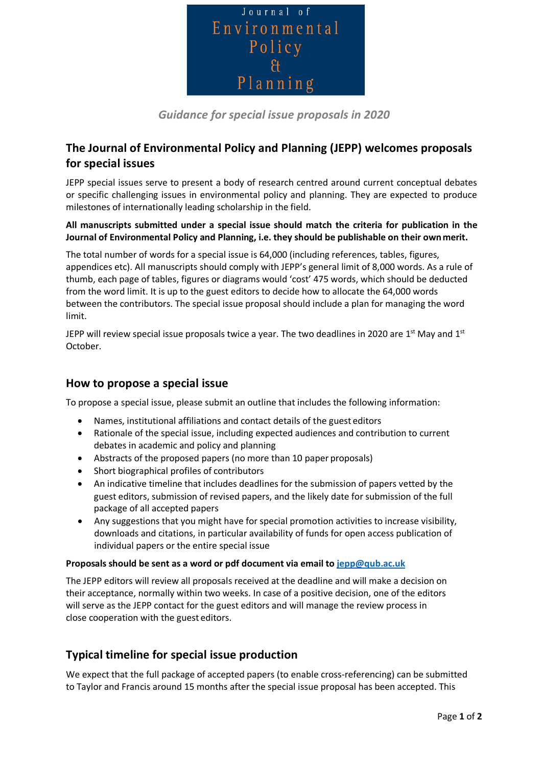

*Guidance for special issue proposals in 2020*

# **The Journal of Environmental Policy and Planning (JEPP) welcomes proposals for special issues**

JEPP special issues serve to present a body of research centred around current conceptual debates or specific challenging issues in environmental policy and planning. They are expected to produce milestones of internationally leading scholarship in the field.

**All manuscripts submitted under a special issue should match the criteria for publication in the Journal of Environmental Policy and Planning, i.e. they should be publishable on their ownmerit.**

The total number of words for a special issue is 64,000 (including references, tables, figures, appendices etc). All manuscripts should comply with JEPP's general limit of 8,000 words. As a rule of thumb, each page of tables, figures or diagrams would 'cost' 475 words, which should be deducted from the word limit. It is up to the guest editors to decide how to allocate the 64,000 words between the contributors. The special issue proposal should include a plan for managing the word limit.

JEPP will review special issue proposals twice a year. The two deadlines in 2020 are  $1<sup>st</sup>$  May and  $1<sup>st</sup>$ October.

### **How to propose a special issue**

To propose a special issue, please submit an outline that includes the following information:

- Names, institutional affiliations and contact details of the guest editors
- Rationale of the special issue, including expected audiences and contribution to current debates in academic and policy and planning
- Abstracts of the proposed papers (no more than 10 paper proposals)
- Short biographical profiles of contributors
- An indicative timeline that includes deadlines for the submission of papers vetted by the guest editors, submission of revised papers, and the likely date for submission of the full package of all accepted papers
- Any suggestions that you might have for special promotion activities to increase visibility, downloads and citations, in particular availability of funds for open access publication of individual papers or the entire special issue

#### **Proposals should be sent as a word or pdf document via email to jepp@qub.ac.uk**

The JEPP editors will review all proposals received at the deadline and will make a decision on their acceptance, normally within two weeks. In case of a positive decision, one of the editors will serve as the JEPP contact for the guest editors and will manage the review process in close cooperation with the guest editors.

### **Typical timeline for special issue production**

We expect that the full package of accepted papers (to enable cross-referencing) can be submitted to Taylor and Francis around 15 months after the special issue proposal has been accepted. This